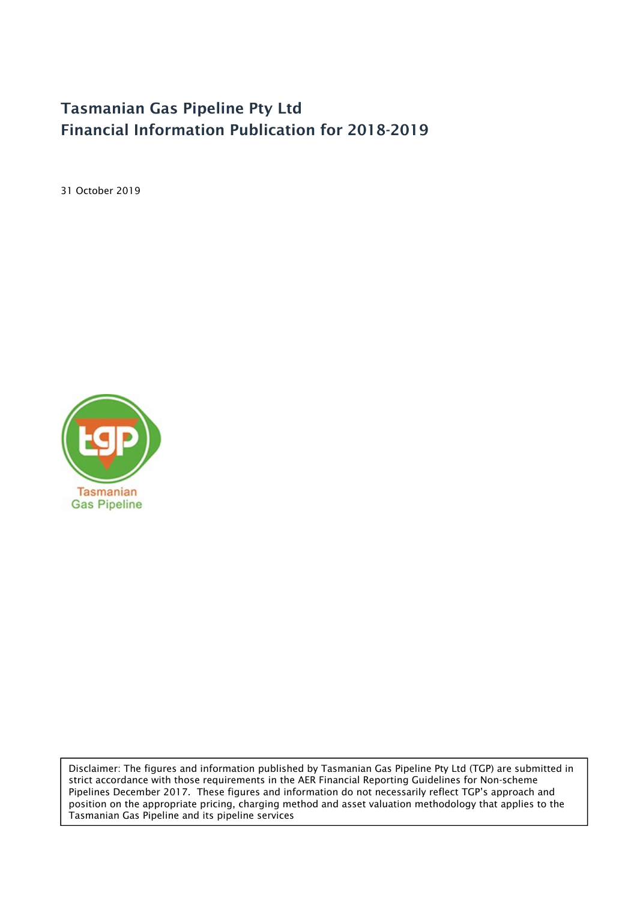# Tasmanian Gas Pipeline Pty Ltd Financial Information Publication for 2018-2019

31 October 2019



Disclaimer: The figures and information published by Tasmanian Gas Pipeline Pty Ltd (TGP) are submitted in strict accordance with those requirements in the AER Financial Reporting Guidelines for Non-scheme Pipelines December 2017. These figures and information do not necessarily reflect TGP's approach and position on the appropriate pricing, charging method and asset valuation methodology that applies to the Tasmanian Gas Pipeline and its pipeline services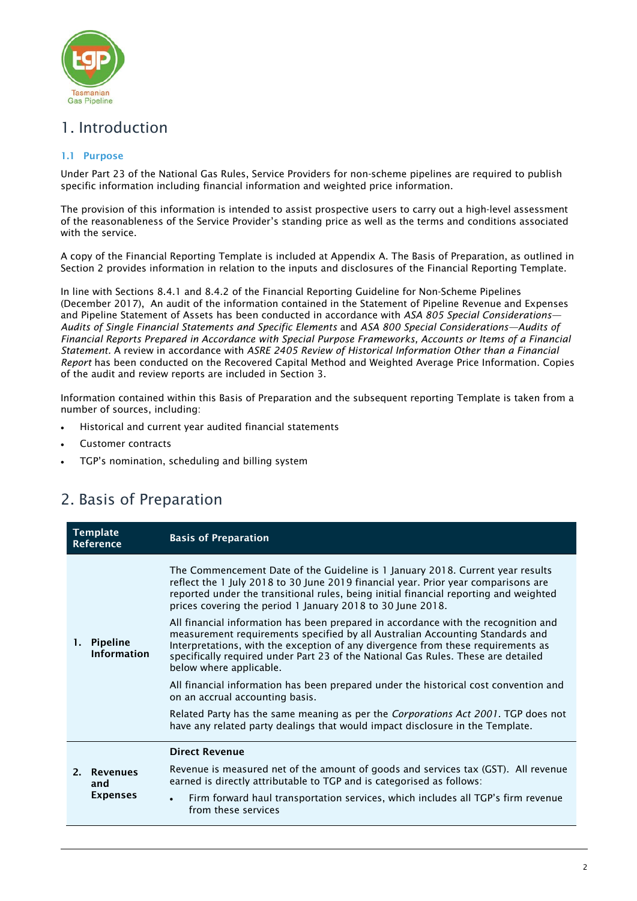

# 1. Introduction

## 1.1 Purpose

Under Part 23 of the National Gas Rules, Service Providers for non-scheme pipelines are required to publish specific information including financial information and weighted price information.

The provision of this information is intended to assist prospective users to carry out a high-level assessment of the reasonableness of the Service Provider's standing price as well as the terms and conditions associated with the service.

A copy of the Financial Reporting Template is included at Appendix A. The Basis of Preparation, as outlined in Section 2 provides information in relation to the inputs and disclosures of the Financial Reporting Template.

In line with Sections 8.4.1 and 8.4.2 of the Financial Reporting Guideline for Non-Scheme Pipelines (December 2017), An audit of the information contained in the Statement of Pipeline Revenue and Expenses and Pipeline Statement of Assets has been conducted in accordance with *ASA 805 Special Considerations— Audits of Single Financial Statements and Specific Elements* and *ASA 800 Special Considerations—Audits of Financial Reports Prepared in Accordance with Special Purpose Frameworks, Accounts or Items of a Financial Statement.* A review in accordance with *ASRE 2405 Review of Historical Information Other than a Financial Report* has been conducted on the Recovered Capital Method and Weighted Average Price Information. Copies of the audit and review reports are included in Section 3.

Information contained within this Basis of Preparation and the subsequent reporting Template is taken from a number of sources, including:

- Historical and current year audited financial statements
- Customer contracts
- TGP's nomination, scheduling and billing system

| 2. Basis of Preparation |  |
|-------------------------|--|
|-------------------------|--|

| <b>Template</b><br>Reference |                                       | <b>Basis of Preparation</b>                                                                                                                                                                                                                                                                                                                                             |
|------------------------------|---------------------------------------|-------------------------------------------------------------------------------------------------------------------------------------------------------------------------------------------------------------------------------------------------------------------------------------------------------------------------------------------------------------------------|
|                              |                                       | The Commencement Date of the Guideline is 1 January 2018. Current year results<br>reflect the 1 July 2018 to 30 June 2019 financial year. Prior year comparisons are<br>reported under the transitional rules, being initial financial reporting and weighted<br>prices covering the period 1 January 2018 to 30 June 2018.                                             |
|                              | 1. Pipeline<br><b>Information</b>     | All financial information has been prepared in accordance with the recognition and<br>measurement requirements specified by all Australian Accounting Standards and<br>Interpretations, with the exception of any divergence from these requirements as<br>specifically required under Part 23 of the National Gas Rules. These are detailed<br>below where applicable. |
|                              |                                       | All financial information has been prepared under the historical cost convention and<br>on an accrual accounting basis.                                                                                                                                                                                                                                                 |
|                              |                                       | Related Party has the same meaning as per the Corporations Act 2001. TGP does not<br>have any related party dealings that would impact disclosure in the Template.                                                                                                                                                                                                      |
|                              |                                       | <b>Direct Revenue</b>                                                                                                                                                                                                                                                                                                                                                   |
|                              | 2. Revenues<br>and<br><b>Expenses</b> | Revenue is measured net of the amount of goods and services tax (GST). All revenue<br>earned is directly attributable to TGP and is categorised as follows:                                                                                                                                                                                                             |
|                              |                                       | Firm forward haul transportation services, which includes all TGP's firm revenue<br>$\bullet$<br>from these services                                                                                                                                                                                                                                                    |

### $\overline{2}$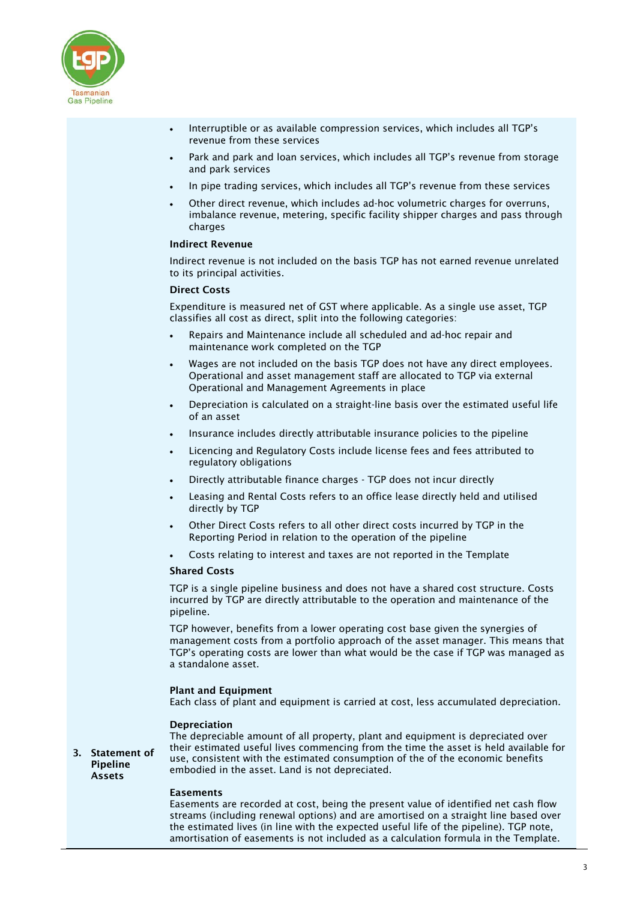

- Interruptible or as available compression services, which includes all TGP's revenue from these services
- Park and park and loan services, which includes all TGP's revenue from storage and park services
- In pipe trading services, which includes all TGP's revenue from these services
- Other direct revenue, which includes ad-hoc volumetric charges for overruns, imbalance revenue, metering, specific facility shipper charges and pass through charges

## Indirect Revenue

Indirect revenue is not included on the basis TGP has not earned revenue unrelated to its principal activities.

### Direct Costs

Expenditure is measured net of GST where applicable. As a single use asset, TGP classifies all cost as direct, split into the following categories:

- Repairs and Maintenance include all scheduled and ad-hoc repair and maintenance work completed on the TGP
- Wages are not included on the basis TGP does not have any direct employees. Operational and asset management staff are allocated to TGP via external Operational and Management Agreements in place
- Depreciation is calculated on a straight-line basis over the estimated useful life of an asset
- Insurance includes directly attributable insurance policies to the pipeline
- Licencing and Regulatory Costs include license fees and fees attributed to regulatory obligations
- Directly attributable finance charges TGP does not incur directly
- Leasing and Rental Costs refers to an office lease directly held and utilised directly by TGP
- Other Direct Costs refers to all other direct costs incurred by TGP in the Reporting Period in relation to the operation of the pipeline
- Costs relating to interest and taxes are not reported in the Template

## Shared Costs

TGP is a single pipeline business and does not have a shared cost structure. Costs incurred by TGP are directly attributable to the operation and maintenance of the pipeline.

TGP however, benefits from a lower operating cost base given the synergies of management costs from a portfolio approach of the asset manager. This means that TGP's operating costs are lower than what would be the case if TGP was managed as a standalone asset.

### Plant and Equipment

Each class of plant and equipment is carried at cost, less accumulated depreciation.

### **Depreciation**

3. Statement of The depreciable amount of all property, plant and equipment is depreciated over their estimated useful lives commencing from the time the asset is held available for use, consistent with the estimated consumption of the of the economic benefits embodied in the asset. Land is not depreciated.

### Easements

**Pipeline** Assets

> Easements are recorded at cost, being the present value of identified net cash flow streams (including renewal options) and are amortised on a straight line based over the estimated lives (in line with the expected useful life of the pipeline). TGP note, amortisation of easements is not included as a calculation formula in the Template.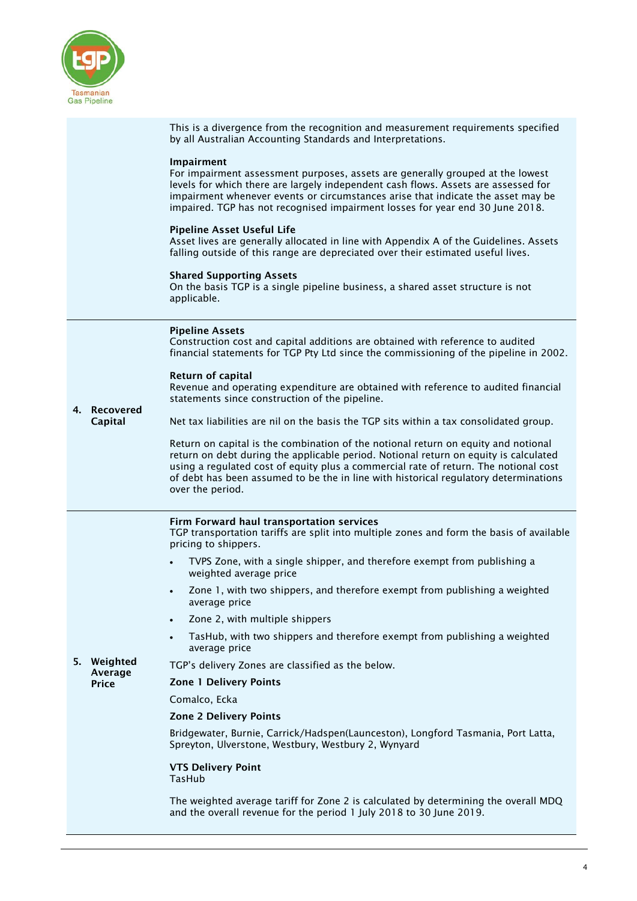

This is a divergence from the recognition and measurement requirements specified by all Australian Accounting Standards and Interpretations.

### Impairment

For impairment assessment purposes, assets are generally grouped at the lowest levels for which there are largely independent cash flows. Assets are assessed for impairment whenever events or circumstances arise that indicate the asset may be impaired. TGP has not recognised impairment losses for year end 30 June 2018.

### Pipeline Asset Useful Life

Asset lives are generally allocated in line with Appendix A of the Guidelines. Assets falling outside of this range are depreciated over their estimated useful lives.

### Shared Supporting Assets

On the basis TGP is a single pipeline business, a shared asset structure is not applicable.

### Pipeline Assets

Construction cost and capital additions are obtained with reference to audited financial statements for TGP Pty Ltd since the commissioning of the pipeline in 2002.

### Return of capital

Revenue and operating expenditure are obtained with reference to audited financial statements since construction of the pipeline.

4. Recovered **Capital** Net tax liabilities are nil on the basis the TGP sits within a tax consolidated group.

> Return on capital is the combination of the notional return on equity and notional return on debt during the applicable period. Notional return on equity is calculated using a regulated cost of equity plus a commercial rate of return. The notional cost of debt has been assumed to be the in line with historical regulatory determinations over the period.

### Firm Forward haul transportation services

TGP transportation tariffs are split into multiple zones and form the basis of available pricing to shippers.

- TVPS Zone, with a single shipper, and therefore exempt from publishing a weighted average price
- Zone 1, with two shippers, and therefore exempt from publishing a weighted average price
- Zone 2, with multiple shippers
- TasHub, with two shippers and therefore exempt from publishing a weighted average price

TGP's delivery Zones are classified as the below.

### Zone 1 Delivery Points

Comalco, Ecka

5. Weighted Average Price

### Zone 2 Delivery Points

Bridgewater, Burnie, Carrick/Hadspen(Launceston), Longford Tasmania, Port Latta, Spreyton, Ulverstone, Westbury, Westbury 2, Wynyard

#### VTS Delivery Point TasHub

The weighted average tariff for Zone 2 is calculated by determining the overall MDQ and the overall revenue for the period 1 July 2018 to 30 June 2019.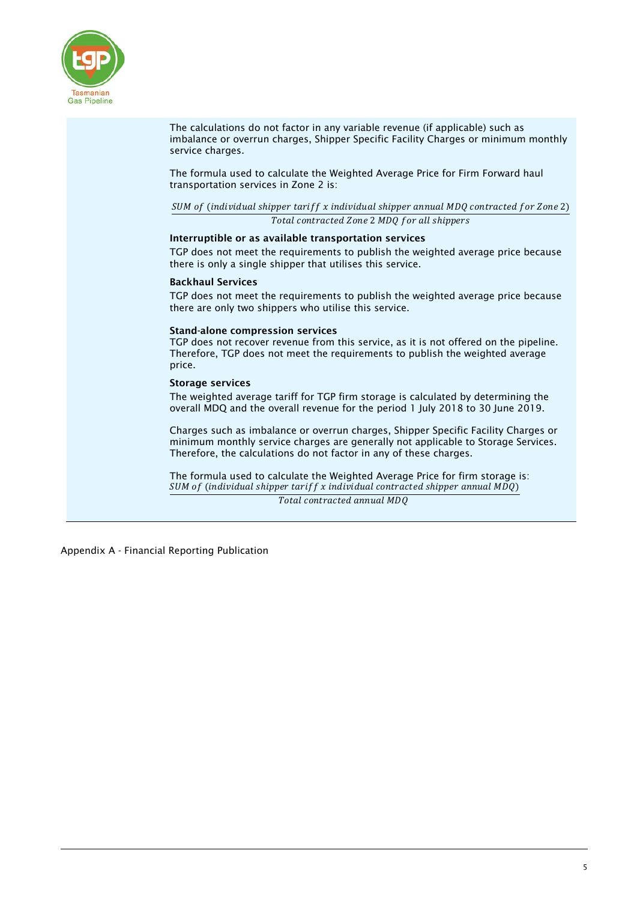

The calculations do not factor in any variable revenue (if applicable) such as imbalance or overrun charges, Shipper Specific Facility Charges or minimum monthly service charges.

The formula used to calculate the Weighted Average Price for Firm Forward haul transportation services in Zone 2 is:

 $SUM$  of (individual shipper tariff x individual shipper annual MDQ contracted for Zone 2) Total contracted Zone 2 MDQ for all shippers

## Interruptible or as available transportation services

TGP does not meet the requirements to publish the weighted average price because there is only a single shipper that utilises this service.

### **Backhaul Services**

TGP does not meet the requirements to publish the weighted average price because there are only two shippers who utilise this service.

### Stand-alone compression services

TGP does not recover revenue from this service, as it is not offered on the pipeline. Therefore, TGP does not meet the requirements to publish the weighted average price.

### **Storage services**

The weighted average tariff for TGP firm storage is calculated by determining the overall MDQ and the overall revenue for the period 1 July 2018 to 30 June 2019.

Charges such as imbalance or overrun charges, Shipper Specific Facility Charges or minimum monthly service charges are generally not applicable to Storage Services. Therefore, the calculations do not factor in any of these charges.

The formula used to calculate the Weighted Average Price for firm storage is:  $SUM$  of (individual shipper tariff x individual contracted shipper annual  $MDQ$ )

Total contracted annual MDQ

Appendix A - Financial Reporting Publication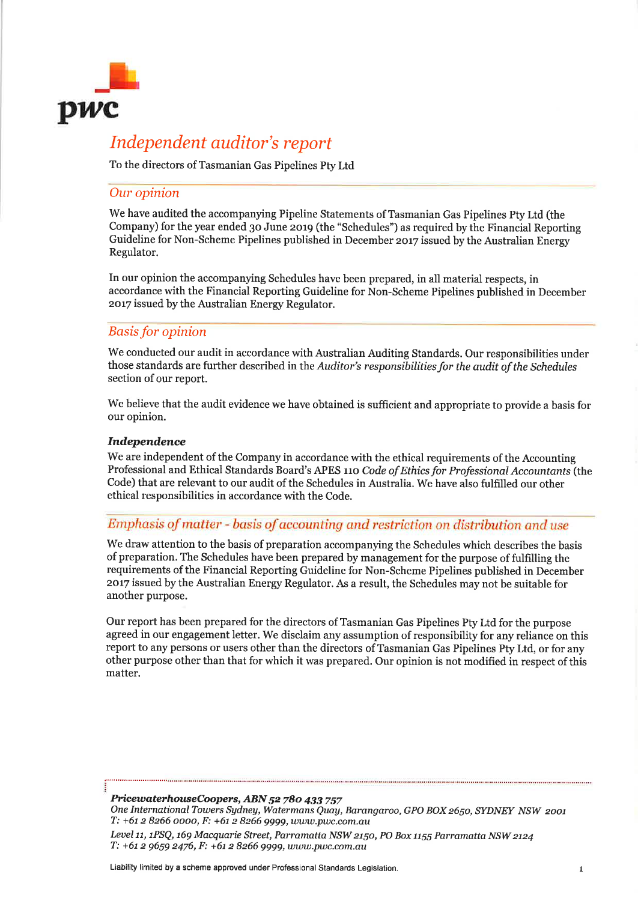

# Independent auditor's report

To the directors of Tasmanian Gas Pipelines Pty Ltd

## Our opinion

We have audited the accompanying Pipeline Statements of Tasmanian Gas Pipelines Pty Ltd (the Company) for the year ended 3o June zorg (the "schedules") as required by the Financial Reporting Guideline for Non-Scheme Pipelines published in December 2017 issued by the Australian Energy Regulator.

In our opinion the accompanying Schedules have been prepared, in all material respects, in accordance with the Financial Reporting Guideline for Non-Scheme Pipelines published in December 2017 issued by the Australian Energy Regulator.

## **Basis for opinion**

We conducted our audit in accordance with Australian Auditing Standards. Our responsibilities under those standards are further described in the Auditor's responsibilities for the audit of the Schedules section of our report.

We believe that the audit evidence we have obtained is sufficient and appropriate to provide a basis for our opinion.

## Independence

We are independent of the Company in accordance with the ethical requirements of the Accounting Professional and Ethical Standards Board's APES 110 Code of Ethics for Professional Accountants (the Code) that are relevant to our audit of the Schedules in Australia. We have also fulfilled our other ethical responsibilities in accordance with the Code.

## Emphasis of matter - basis of accounting and restriction on distribution and use

We draw attention to the basis of preparation accompanying the Schedules which describes the basis of preparation. The Schedules have been prepared by management for the purpose of fulfilling the requirements of the Financial Reporting Guideline for Non-Scheme Pipelines published in December 2017 issued by the Australian Energy Regulator. As a result, the Schedules may not be suitable for another purpose.

Our report has been prepared for the directors of Tasmanian Gas Pipelines Pty Ltd for the purpose agreed in our engagement letter. We disclaim any assumption of responsibility for any reliance on this report to any persons or users other than the directors of Tasmanian Gas Pipelines Pty Ltd, or for any other purpose other than that for which it was prepared. Our opinion is not modified in respect of this matter.

PricewaterhouseCoopers, ABN 52 780 433 757 One International Towers Sydney, Watermans Quay, Barangaroo, GPO BOX 2650, SYDNEY NSW 2001 T: +6t z 8266 oooo, F: +6t z 8266 9gg9,www.pwc.com.au Level 11, 1PSQ, 169 Macquarie Street, Parramatta NSW 2150, PO Box 1155 Parramatta NSW 2124 T: +61 2 9659 2476, F: +61 2 8266 9999, www.pwc.com.au

Liability limited by a scheme approved under Professional Standards Legislation. <sup>1</sup>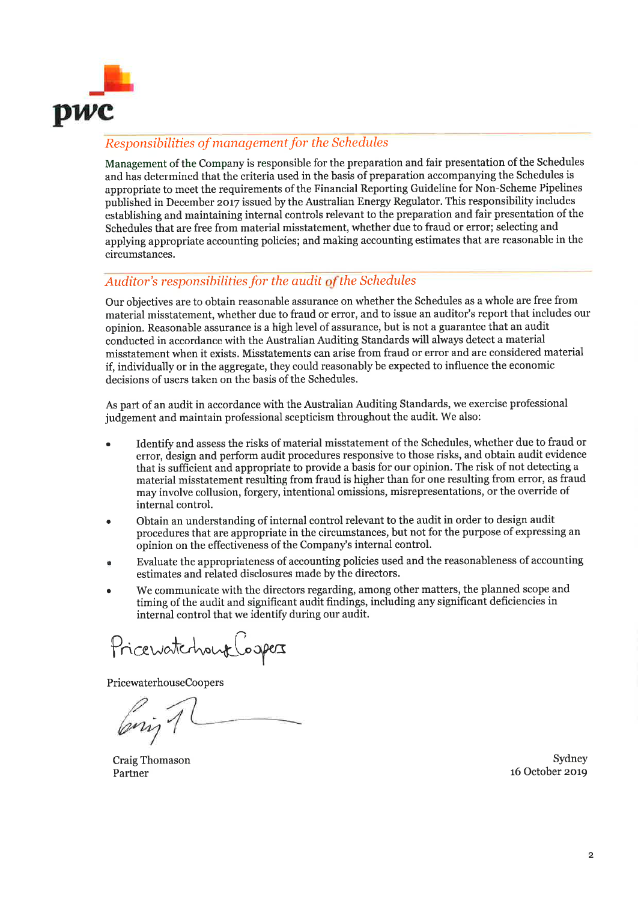

## Responsibilities of management for the Schedules

Management of the Company is responsible for the preparation and fair presentation of the Schedules and has determined that the criteria used in the basis of preparation accompanying the Schedules is appropriate to meet the requirements of the Financial Reporting Guideline for Non-Scheme Pipelines published in December 2017 issued by the Australian Energy Regulator. This responsibility includes establishing and maintaining internal controls relevant to the preparation and fair presentation of the Schedules that are free from material misstatement, whether due to fraud or error; selecting and applying appropriate accounting policies; and making accounting estimates that are reasonable in the circumstances.

## Auditor's responsibilities for the audit of the Schedules

Our objectives are to obtain reasonable assurance on whether the Schedules as a whole are free from material misstatement, whether due to fraud or error, and to issue an auditor's report that includes our opinion. Reasonable assurance is a high level of assurance, but is not a guarantee that an audit conducted in accordance with the Australian Auditing Standards will always detect a material misstatement when it exists. Misstatements can arise from fraud or error and are considered material if, individually or in the aggregate, they could reasonably be expected to influence the economic decisions of users taken on the basis of the Schedules.

As part of an audit in accordance with the Australian Auditing Standards, we exercise professional judgement and maintain professional scepticism throughout the audit. We also:

- . Identify and assess the risks of material misstatement of the Schedules, whether due to fraud or error, design and perform audit procedures responsive to those risks, and obtain audit evidence that is sufficient and appropriate to provide a basis for our opinion. The risk of not detecting <sup>a</sup> material misstatement resulting from fraud is higher than for one resulting from error, as fraud may involve collusion, forgery, intentional omissions, misrepresentations, or the override of internal control.
- o Obtain an understanding of internal control relevant to the audit in order to design audit procedures that are appropriate in the circumstances, but not for the purpose of expressing an opinion on the effectiveness of the Company's internal control.
- Evaluate the appropriateness of accounting policies used and the reasonableness of accounting estimates and related disclosures made by the directors.
- We communicate with the directors regarding, among other matters, the planned scope and timing of the audit and significant audit findings, including any significant deficiencies in internal control that we identify during our audit.

 $P_{\sigma}$  respected to  $C$ Pricewatchour Loopes

PricewaterhouseCoopers

/W?

Craig Thomason Partner

Sydney 16 October zorg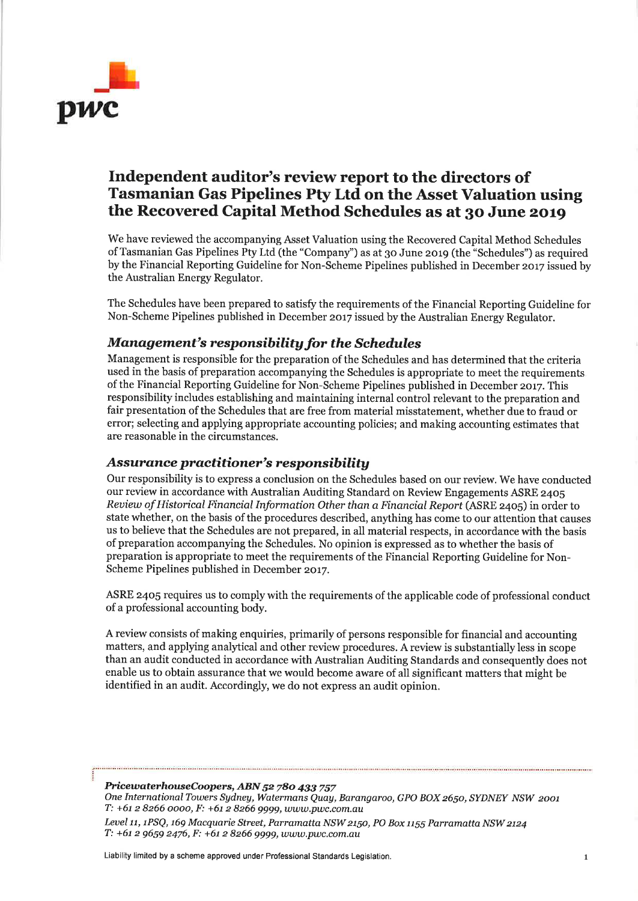

## Independent auditor's review report to the directors of Tasmanian Gas Pipelines Pty Ltd on the Asset Valuation using the Recovered Capital Method Schedules as at 30 June 2019

We have reviewed the accompanying Asset Valuation using the Recovered Capital Method Schedules of Tasmanian Gas Pipelines Pty Ltd (the "Company") as at go June zorg (the "schedules") as required by the Financial Reporting Guideline for Non-Scheme Pipelines published in December 2017 issued by the Australian Energy Regulator.

The Schedules have been prepared to satisfy the requirements of the Financial Reporting Guideline for Non-Scheme Pipelines published in December 2017 issued by the Australian Energy Regulator.

## Management's responsibility for the Schedules

Management is responsible for the preparation of the Schedules and has determined that the criteria used in the basis of preparation accompanying the Schedules is appropriate to meet the requirements of the Financial Reporting Guideline for Non-scheme Pipelines published in December zor7. This responsibility includes establishing and maintaining internal control relevant to the preparation and fair presentation of the Schedules that are free from material misstatement, whether due to fraud or error; selecting and applying appropriate accounting policies; and making accounting estimates that are reasonable in the circumstances.

## Assurance practitioner's responsibility

Our responsibility is to express a conclusion on the Schedules based on our review. We have conducted our review in accordance with Australian Auditing Standard on Review Engagements ASRE 2405 Review of Historical Financial Information Other than a Financial Report (ASRE 2405) in order to state whether, on the basis of the procedures described, anything has come to our attention that causes us to believe that the Schedules are not prepared, in all material respects, in accordance with the basis of preparation accompanying the Schedules. No opinion is expressed as to whether the basis of preparation is appropriate to meet the requirements of the Financial Reporting Guideline for Non-Scheme Pipelines published in December 2017.

ASRE z4o5 requires us to comply with the requirements of the applicable code of professional conduct ofa professional accounting body.

A review consists of making enquiries, primarily of persons responsible for financial and accounting matters, and applying analytical and other review procedures. A review is substantially less in scope than an audit conducted in accordance with Australian Auditing Standards and consequently does not enable us to obtain assurance that we would become aware of all significant matters that might be identified in an audit. Accordingly, we do not express an audit opinion.

### PricewaterhouseCoopers, ABN 52 780 433 757

One International Towers Sydney, Watermans Quay, Barangaroo, GPO BOX 2650, SYDNEY NSW 2001  $T: +61$  2 8266 0000,  $F: +61$  2 8266 9999, www.pwc.com.au

Level 11, 1PSQ, 169 Macquarie Street, Parramatta NSW 2150, PO Box 1155 Parramatta NSW 2124 T:  $+61$  2 9659 2476, F:  $+61$  2 8266 9999, www.pwc.com.au

Liability limited by a scheme approved under Professional Standards Legislation. <sup>1</sup>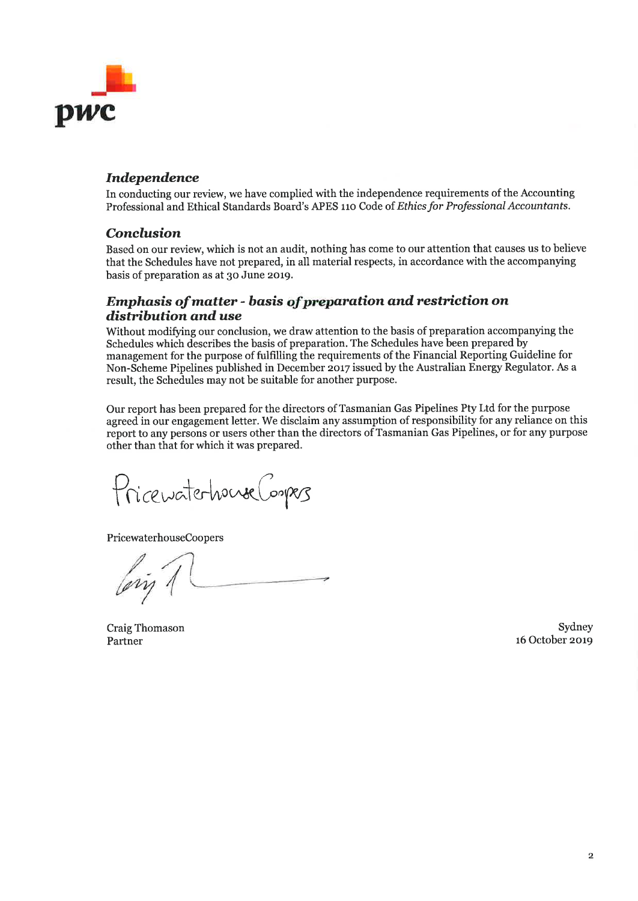

## Independence

In conducting our review, we have complied with the independence requirements of the Accounting Professional and Ethical Standards Board's APES 110 Code of Ethics for Professional Accountants.

## Conelusion

Based on our review, which is not an audit, nothing has come to our attention that causes us to believe that the Schedules have not prepared, in all material respects, in accordance with the accompanying basis of preparation as at 30 June 2019.

## Emphasis of matter - basis of preparation and restriction on distribution and use

Without modifying our conclusion, we draw attention to the basis of preparation accompanying the Schedules which describes the basis of preparation. The Schedules have been prepared by management for the purpose of fulfilling the requirements of the Financial Reporting Guideline for Non-Scheme Pipelines published in December 2017 issued by the Australian Energy Regulator. As a result, the Schedules may not be suitable for another purpose.

Our report has been prepared for the directors of Tasmanian Gas Pipelines Pty Ltd for the purpose agreed in our engagement letter. We disclaim any assumption of responsibility for any reliance on this report to any persons or users other than the directors ofTasmanian Gas Pipelines, or for any purpose other than that for which it was prepared.

Pricewaterhouse Compers

PricewaterhouseCoopers

, // fing

Craig Thomason Partner

Sydney 16 October zorg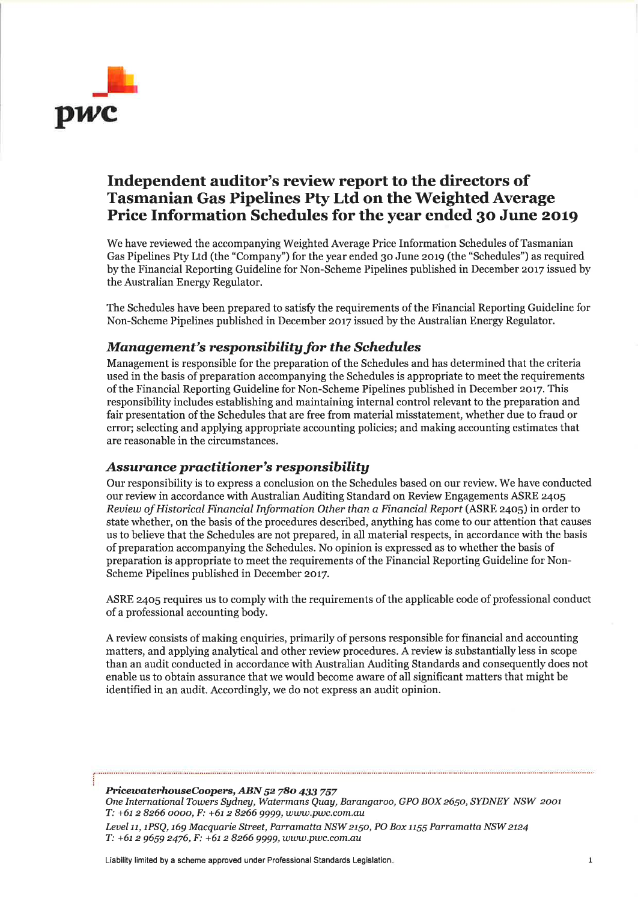

## Independent auditor's review report to the directors of Tasmanian Gas Pipelines Pty Ltd on the Weighted Average Price Information Schedules for the year ended 3o June zotg

We have reviewed the accompanying Weighted Average Price Information Schedules of Tasmanian Gas Pipelines Pty Ltd (the "Company") for the year ended 3o June zorg (the "Schedules") as required by the Financial Reporting Guideline for Non-Scheme Pipelines published in December 2or7 issued by the Australian Energy Regulator.

The Schedules have been prepared to satisfy the requirements of the Financial Reporting Guideline for Non-Scheme Pipelines published in December 2ot7 issued by the Australian Energy Regulator.

## Management's responsibility for the Schedules

Management is responsible for the preparation of the Schedules and has determined that the criteria used in the basis of preparation accompanying the Schedules is appropriate to meet the requirements of the Financial Reporting Guideline for Non-Scheme Pipelines published in December zor7. This responsibility includes establishing and maintaining internal control relevant to the preparation and fair presentation of the Schedules that are free from material misstatement, whether due to fraud or error; selecting and applying appropriate accounting policies; and making accounting estimates that are reasonable in the circumstances.

## Assurance practitioner's responsibility

Our responsibility is to express a conclusion on the Schedules based on our review. We have conducted our review in accordance with Australian Auditing Standard on Review Engagements ASRE z4o5 Reuiew of Historical Financial Information Other than a Financial Report (ASRE z4o5) in order to state whether, on the basis of the procedures described, anything has come to our attention that causes us to believe that the Schedules are not prepared, in all material respects, in accordance with the basis of preparation accompanying the Schedules. No opinion is expressed as to whether the basis of preparation is appropriate to meet the requirements of the Financial Reporting Guideline for Non-Scheme Pipelines published in December 2017.

ASRE z4o5 requires us to comply with the requirements of the applicable code of professional conduct of a professional accounting body.

A review consists of making enquiries, primarily of persons responsible for financial and accounting matters, and applying analytical and other review procedures. A review is substantially less in scope than an audit conducted in accordance with Australian Auditing Standards and consequently does not enable us to obtain assurance that we would become aware of all significant matters that might be identified in an audit. Accordingly, we do not express an audit opinion.

PricewaterhouseCoopers, ABN 52 780 433 757 One International Towers Sydney, Watermans Quay, Barangaroo, GPO BOX 2650, SYDNEY NSW 2001  $T: +61 2 8266 0000$ ,  $F: +61 2 8266 9999$ , www.pwc.com.au

Level 11, 1PSQ, 169 Macquarie Street, Parramatta NSW 2150, PO Box 1155 Parramatta NSW 2124 T: +61 2 9659 2476, F: +61 2 8266 9999, www.pwc.com.au

Liability limited by a scheme approved under Professional Standards Legislation.